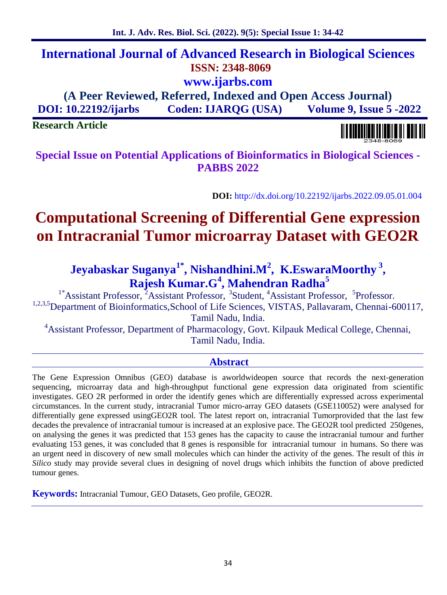# **International Journal of Advanced Research in Biological Sciences ISSN: 2348-8069 www.ijarbs.com**

**(A Peer Reviewed, Referred, Indexed and Open Access Journal) DOI: 10.22192/ijarbs Coden: IJARQG (USA) Volume 9, Issue 5 -2022**

**Research Article**

**Special Issue on Potential Applications of Bioinformatics in Biological Sciences - PABBS 2022**

**DOI:** http://dx.doi.org/10.22192/ijarbs.2022.09.05.01.004

# **Computational Screening of Differential Gene expression on Intracranial Tumor microarray Dataset with GEO2R**

# **Jeyabaskar Suganya1\*, Nishandhini.M<sup>2</sup> , K.EswaraMoorthy <sup>3</sup> , Rajesh Kumar.G<sup>4</sup> , Mahendran Radha<sup>5</sup>**

<sup>1\*</sup>Assistant Professor, <sup>2</sup>Assistant Professor, <sup>3</sup>Student, <sup>4</sup>Assistant Professor, <sup>5</sup>Professor. <sup>1,2,3,5</sup>Department of Bioinformatics,School of Life Sciences, VISTAS, Pallavaram, Chennai-600117, Tamil Nadu, India.

<sup>4</sup>Assistant Professor, Department of Pharmacology, Govt. Kilpauk Medical College, Chennai, Tamil Nadu, India.

### **Abstract**

The Gene Expression Omnibus (GEO) database is aworldwideopen source that records the next-generation sequencing, microarray data and high-throughput functional gene expression data originated from scientific investigates. GEO 2R performed in order the identify genes which are differentially expressed across experimental circumstances. In the current study, intracranial Tumor micro-array GEO datasets (GSE110052) were analysed for differentially gene expressed usingGEO2R tool. The latest report on, intracranial Tumorprovided that the last few decades the prevalence of intracranial tumour is increased at an explosive pace. The GEO2R tool predicted 250genes, on analysing the genes it was predicted that 153 genes has the capacity to cause the intracranial tumour and further evaluating 153 genes, it was concluded that 8 genes is responsible for intracranial tumour in humans. So there was an urgent need in discovery of new small molecules which can hinder the activity of the genes. The result of this *in Silico* study may provide several clues in designing of novel drugs which inhibits the function of above predicted tumour genes.

**Keywords:** Intracranial Tumour, GEO Datasets, Geo profile, GEO2R.

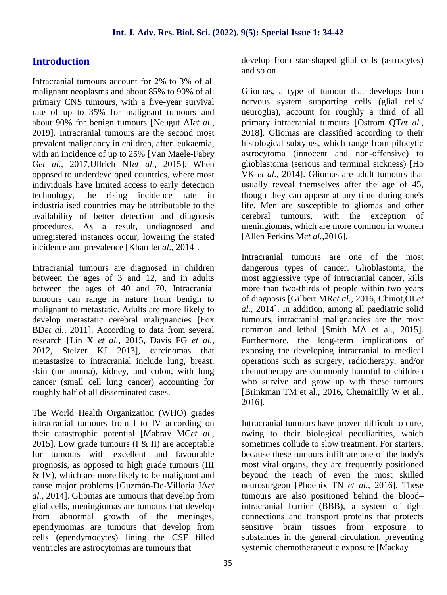# **Introduction**

Intracranial tumours account for 2% to 3% of all malignant neoplasms and about 85% to 90% of all primary CNS tumours, with a five-year survival rate of up to 35% for malignant tumours and about 90% for benign tumours [Neugut AI*et al.,* 2019]. Intracranial tumours are the second most prevalent malignancy in children, after leukaemia, with an incidence of up to 25% [Van Maele-Fabry G*et al.,* 2017,Ullrich NJ*et al.,* 2015]. When opposed to underdeveloped countries, where most individuals have limited access to early detection technology, the rising incidence rate in industrialised countries may be attributable to the availability of better detection and diagnosis procedures. As a result, undiagnosed and unregistered instances occur, lowering the stated incidence and prevalence [Khan I*et al.,* 2014].

Intracranial tumours are diagnosed in children between the ages of 3 and 12, and in adults between the ages of 40 and 70. Intracranial tumours can range in nature from benign to malignant to metastatic. Adults are more likely to develop metastatic cerebral malignancies [Fox BD*et al.,* 2011]. According to data from several research [Lin X *et al.,* 2015, Davis FG *et al.,* 2012, Stelzer KJ 2013], carcinomas that metastasize to intracranial include lung, breast, skin (melanoma), kidney, and colon, with lung cancer (small cell lung cancer) accounting for roughly half of all disseminated cases.

The World Health Organization (WHO) grades intracranial tumours from I to IV according on their catastrophic potential [Mabray MC*et al.,* 2015]. Low grade tumours (I & II) are acceptable for tumours with excellent and favourable prognosis, as opposed to high grade tumours (III & IV), which are more likely to be malignant and cause major problems [Guzmán-De-Villoria JA*et al.,* 2014]. Gliomas are tumours that develop from glial cells, meningiomas are tumours that develop from abnormal growth of the meninges, ependymomas are tumours that develop from cells (ependymocytes) lining the CSF filled ventricles are astrocytomas are tumours that

develop from star-shaped glial cells (astrocytes) and so on.

Gliomas, a type of tumour that develops from nervous system supporting cells (glial cells/ neuroglia), account for roughly a third of all primary intracranial tumours [Ostrom QT*et al.,* 2018]. Gliomas are classified according to their histological subtypes, which range from pilocytic astrocytoma (innocent and non-offensive) to glioblastoma (serious and terminal sickness) [Ho VK *et al.,* 2014]. Gliomas are adult tumours that usually reveal themselves after the age of 45, though they can appear at any time during one's life. Men are susceptible to gliomas and other cerebral tumours, with the exception of meningiomas, which are more common in women [Allen Perkins M*et al.,*2016].

Intracranial tumours are one of the most dangerous types of cancer. Glioblastoma, the most aggressive type of intracranial cancer, kills more than two-thirds of people within two years of diagnosis [Gilbert MR*et al.,* 2016, Chinot,OL*et al.,* 2014]. In addition, among all paediatric solid tumours, intracranial malignancies are the most common and lethal [Smith MA et al., 2015]. Furthermore, the long-term implications of exposing the developing intracranial to medical operations such as surgery, radiotherapy, and/or chemotherapy are commonly harmful to children who survive and grow up with these tumours [Brinkman TM et al., 2016, Chemaitilly W et al., 2016].

Intracranial tumours have proven difficult to cure, owing to their biological peculiarities, which sometimes collude to slow treatment. For starters, because these tumours infiltrate one of the body's most vital organs, they are frequently positioned beyond the reach of even the most skilled neurosurgeon [Phoenix TN *et al.,* 2016]. These tumours are also positioned behind the blood– intracranial barrier (BBB), a system of tight connections and transport proteins that protects sensitive brain tissues from exposure to substances in the general circulation, preventing systemic chemotherapeutic exposure [Mackay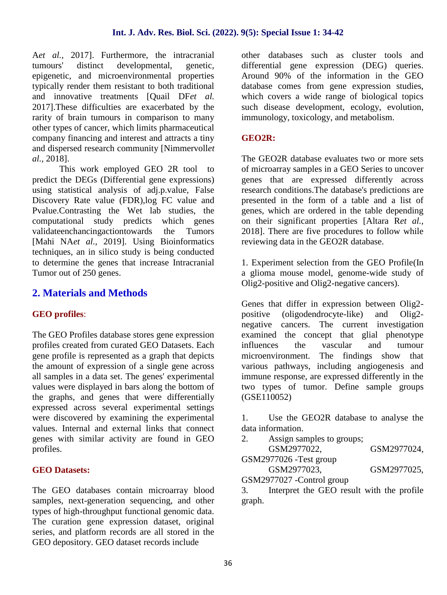A*et al.,* 2017]. Furthermore, the intracranial tumours' distinct developmental, genetic, epigenetic, and microenvironmental properties typically render them resistant to both traditional and innovative treatments [Quail DF*et al.* 2017].These difficulties are exacerbated by the rarity of brain tumours in comparison to many other types of cancer, which limits pharmaceutical company financing and interest and attracts a tiny and dispersed research community [Nimmervoll*et al.,* 2018].

This work employed GEO 2R tool to predict the DEGs (Differential gene expressions) using statistical analysis of adj.p.value, False Discovery Rate value (FDR),log FC value and Pvalue.Contrasting the Wet lab studies, the computational study predicts which genes validateenchancingactiontowards the Tumors [Mahi NA*et al.,* 2019]. Using Bioinformatics techniques, an in silico study is being conducted to determine the genes that increase Intracranial Tumor out of 250 genes.

### **2. Materials and Methods**

### **GEO profiles**:

The GEO Profiles database stores gene expression profiles created from curated GEO Datasets. Each gene profile is represented as a graph that depicts the amount of expression of a single gene across all samples in a data set. The genes' experimental values were displayed in bars along the bottom of the graphs, and genes that were differentially expressed across several experimental settings were discovered by examining the experimental values. Internal and external links that connect genes with similar activity are found in GEO profiles.

### **GEO Datasets:**

The GEO databases contain microarray blood 3. samples, next-generation sequencing, and other types of high-throughput functional genomic data. The curation gene expression dataset, original series, and platform records are all stored in the GEO depository. GEO dataset records include

other databases such as cluster tools and differential gene expression (DEG) queries. Around 90% of the information in the GEO database comes from gene expression studies, which covers a wide range of biological topics such disease development, ecology, evolution, immunology, toxicology, and metabolism.

### **GEO2R:**

The GEO2R database evaluates two or more sets of microarray samples in a GEO Series to uncover genes that are expressed differently across research conditions.The database's predictions are presented in the form of a table and a list of genes, which are ordered in the table depending on their significant properties [Altara R*et al.,* 2018]. There are five procedures to follow while reviewing data in the GEO2R database.

1. Experiment selection from the GEO Profile(In a glioma mouse model, genome-wide study of Olig2-positive and Olig2-negative cancers).

Genes that differ in expression between Olig2 positive (oligodendrocyte-like) and Olig2 negative cancers. The current investigation examined the concept that glial phenotype influences the vascular and tumour microenvironment. The findings show that various pathways, including angiogenesis and immune response, are expressed differently in the two types of tumor. Define sample groups (GSE110052)

1. Use the GEO2R database to analyse the data information.

Assign samples to groups; GSM2977022, GSM2977024, GSM2977026 -Test group GSM2977023, GSM2977025, GSM2977027 -Control group

Interpret the GEO result with the profile graph.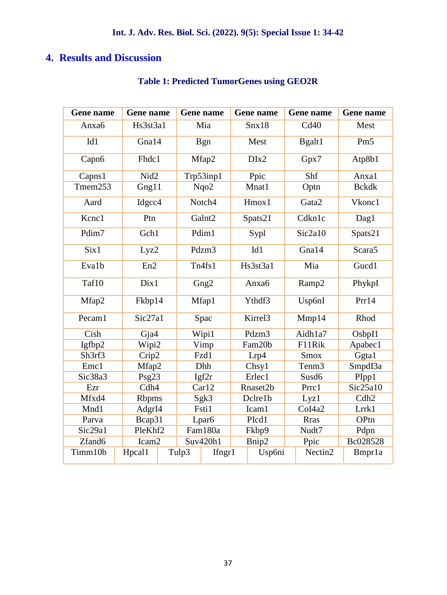## **4. Results and Discussion**

| Gene name          | Gene name |                             |            | Gene name          |       | Gene name           |             | Gene name          | Gene name          |
|--------------------|-----------|-----------------------------|------------|--------------------|-------|---------------------|-------------|--------------------|--------------------|
| Anxa6              | Hs3st3a1  |                             | Mia        |                    | Snx18 |                     |             | Cd40               | Mest               |
| Id1                | Gna14     |                             | <b>Bgn</b> |                    | Mest  |                     |             | Bgalt1             | Pm <sub>5</sub>    |
| Capn <sub>6</sub>  |           | Fhdc1                       |            | Mfap2              |       | DIx2                |             | Gpx7               | Atp8b1             |
| Capns1             | Nid2      |                             | Trp53inp1  |                    | Ppic  |                     |             | Shf                | Anxa1              |
| Tmem253            |           | Gng11                       |            | Nqo2               |       | Mnat1               |             | Optn               | <b>Bckdk</b>       |
| Aard               |           | Idgcc4                      |            | Notch4             |       | Hmox1               |             | Gata2              | Vkonc1             |
| Kcnc1              | Ptn       |                             |            | Galnt <sub>2</sub> |       | Spats21             |             | Cdkn1c             | Dag1               |
| Pdim7              |           | Gch1                        |            | Pdim1              |       | Sypl                |             | Sic2a10            | Spats21            |
| Six1               |           | Lyz2                        |            | Pdzm3              |       | Id1                 |             | Gna14              | Scara <sub>5</sub> |
| Eva1b              | En2       |                             |            | Tn4fs1             |       | Hs3st3a1            |             | Mia                | Gucd1              |
| Taf10              |           | Dix1                        |            | Gng <sub>2</sub>   |       | Anxa6               |             | Ramp2              | PhykpI             |
| Mfap2              |           | Fkbp14                      |            | Mfap1              |       | Ythdf3              |             | Usp6nI             | Prr14              |
| Pecam1             | Sic27a1   |                             |            | Spac               |       | Kirrel <sub>3</sub> |             | Mmp14              | Rhod               |
| Cish               | Gja4      |                             |            | Wipi1              |       | Pdzm3               |             | Aidh1a7            | OsbpI1             |
| Igfbp2             |           | Wipi2                       |            | Vimp               |       | Fam20b              |             | F11Rik             | Apabec1            |
| Sh3rf3             |           | Crip2<br>Fzd1               |            | Lrp4               |       |                     | <b>Smox</b> | Ggta1              |                    |
| Emc1               |           | Mfap2                       |            | Dhh                |       | Chsy1               |             | Tenm <sub>3</sub>  | SmpdI3a            |
| Sic38a3            |           | Psg23                       |            | Igf2r              |       | Erlec1              |             | Susd6              | PIpp1              |
| Ezr                |           | Cdh4                        |            | Car12              |       | Rnaset2b            |             | Prrc1              | Sic25a10           |
| Mfxd4              |           | <b>Rbpms</b>                |            | Sgk3               |       | Dclre1b             |             | Lyz1               | Cdh2               |
| Mnd1               |           | AdgrI4                      |            | Fsti1              |       | Icam1               |             | CoI <sub>4a2</sub> | Lrrk1              |
| Parva              |           | Bcap31<br>Lpar <sub>6</sub> |            | PIcd1              |       |                     | <b>Rras</b> | OPtn               |                    |
| Sic29a1            |           | PleKhf2<br>Fam180a          |            | Fkbp9              |       |                     | Nudt7       | Pdpn               |                    |
| Zfand <sub>6</sub> |           | Icam <sub>2</sub>           |            | Suv420h1           |       | Bnip2               |             | Ppic               | Bc028528           |
| Timm10b            | Hpcal1    |                             | Tulp3      | Ifngr1             |       | Usp6ni              |             | Nectin2            | Bmpr1a             |

# **Table 1: Predicted TumorGenes using GEO2R**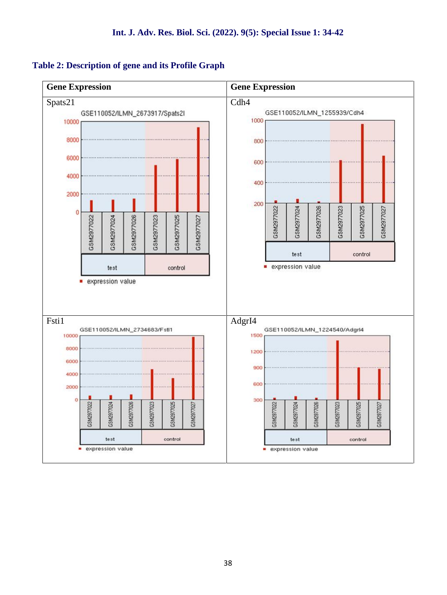### **Table 2: Description of gene and its Profile Graph**

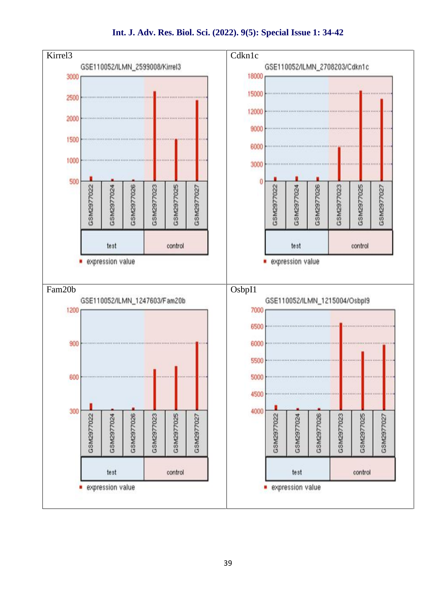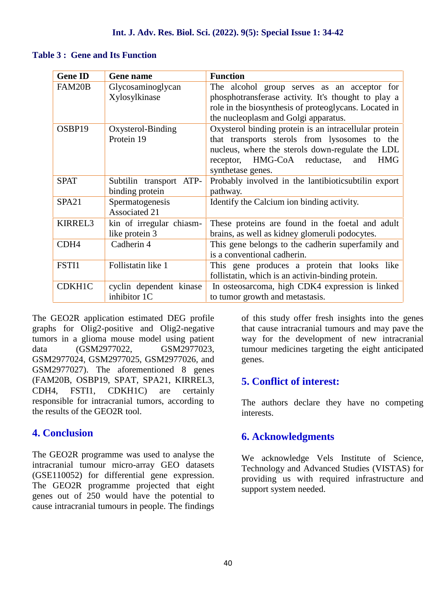### **Table 3 : Gene and Its Function**

| <b>Gene ID</b>    | <b>Gene name</b>         | <b>Function</b>                                       |
|-------------------|--------------------------|-------------------------------------------------------|
| FAM20B            | Glycosaminoglycan        | The alcohol group serves as an acceptor for           |
|                   | Xylosylkinase            | phosphotransferase activity. It's thought to play a   |
|                   |                          | role in the biosynthesis of proteoglycans. Located in |
|                   |                          | the nucleoplasm and Golgi apparatus.                  |
| OSBP19            | Oxysterol-Binding        | Oxysterol binding protein is an intracellular protein |
|                   | Protein 19               | that transports sterols from lysosomes to the         |
|                   |                          | nucleus, where the sterols down-regulate the LDL      |
|                   |                          | receptor, HMG-CoA reductase, and<br><b>HMG</b>        |
|                   |                          | synthetase genes.                                     |
| <b>SPAT</b>       | Subtilin transport ATP-  | Probably involved in the lantibiotic subtilinexport   |
|                   | binding protein          | pathway.                                              |
| SPA <sub>21</sub> | Spermatogenesis          | Identify the Calcium ion binding activity.            |
|                   | <b>Associated 21</b>     |                                                       |
| <b>KIRREL3</b>    | kin of irregular chiasm- | These proteins are found in the foetal and adult      |
|                   | like protein 3           | brains, as well as kidney glomeruli podocytes.        |
| CDH <sub>4</sub>  | Cadherin 4               | This gene belongs to the cadherin superfamily and     |
|                   |                          | is a conventional cadherin.                           |
| FSTI1             | Follistatin like 1       | This gene produces a protein that looks like          |
|                   |                          | follistatin, which is an activin-binding protein.     |
| CDKH1C            | cyclin dependent kinase  | In osteosarcoma, high CDK4 expression is linked       |
|                   | inhibitor 1C             | to tumor growth and metastasis.                       |

The GEO2R application estimated DEG profile graphs for Olig2-positive and Olig2-negative tumors in a glioma mouse model using patient data (GSM2977022, GSM2977023, GSM2977024, GSM2977025, GSM2977026, and GSM2977027). The aforementioned 8 genes (FAM20B, OSBP19, SPAT, SPA21, KIRREL3, CDH4, FSTI1, CDKH1C) are certainly responsible for intracranial tumors, according to the results of the GEO2R tool.

### **4. Conclusion**

The GEO2R programme was used to analyse the intracranial tumour micro-array GEO datasets (GSE110052) for differential gene expression. The GEO2R programme projected that eight genes out of 250 would have the potential to cause intracranial tumours in people. The findings of this study offer fresh insights into the genes that cause intracranial tumours and may pave the way for the development of new intracranial tumour medicines targeting the eight anticipated genes.

### **5. Conflict of interest:**

The authors declare they have no competing interests.

### **6. Acknowledgments**

We acknowledge Vels Institute of Science, Technology and Advanced Studies (VISTAS) for providing us with required infrastructure and support system needed.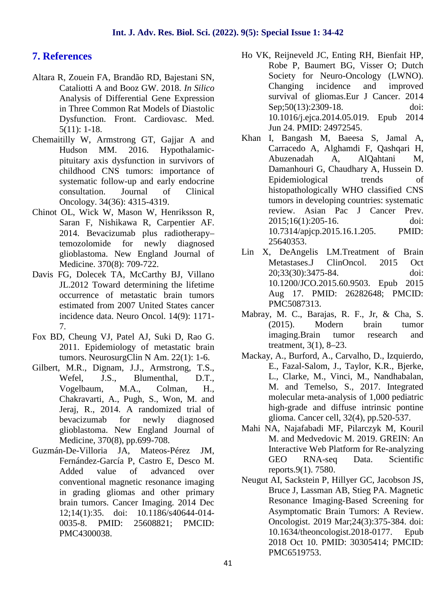### **7. References**

- Altara R, Zouein FA, Brandão RD, Bajestani SN, Cataliotti A and Booz GW. 2018. *In Silico* Analysis of Differential Gene Expression in Three Common Rat Models of Diastolic Dysfunction. Front. Cardiovasc. Med. 5(11): 1-18.
- Chemaitilly W, Armstrong GT, Gajjar A and Hudson MM. 2016. Hypothalamic pituitary axis dysfunction in survivors of childhood CNS tumors: importance of systematic follow-up and early endocrine consultation. Journal of Clinical Oncology. 34(36): 4315-4319.
- Chinot OL, Wick W, Mason W, Henriksson R, Saran F, Nishikawa R, Carpentier AF. 2014. Bevacizumab plus radiotherapy– temozolomide for newly diagnosed glioblastoma. New England Journal of Medicine. 370(8): 709-722.
- Davis FG, Dolecek TA, McCarthy BJ, Villano JL.2012 Toward determining the lifetime occurrence of metastatic brain tumors estimated from 2007 United States cancer incidence data. Neuro Oncol. 14(9): 1171- 7.
- Fox BD, Cheung VJ, Patel AJ, Suki D, Rao G. 2011. Epidemiology of metastatic brain tumors. NeurosurgClin N Am. 22(1): 1-6.
- Gilbert, M.R., Dignam, J.J., Armstrong, T.S., Wefel, J.S., Blumenthal, D.T., Vogelbaum, M.A., Colman, H., Chakravarti, A., Pugh, S., Won, M. and Jeraj, R., 2014. A randomized trial of bevacizumab for newly diagnosed glioblastoma. New England Journal of Medicine, 370(8), pp.699-708.
- Guzmán-De-Villoria JA, Mateos-Pérez JM, Fernández-García P, Castro E, Desco M. Added value of advanced over conventional magnetic resonance imaging in grading gliomas and other primary brain tumors. Cancer Imaging. 2014 Dec 12;14(1):35. doi: 10.1186/s40644-014- 0035-8. PMID: 25608821; PMCID: PMC4300038.
- Ho VK, Reijneveld JC, Enting RH, Bienfait HP, Robe P, Baumert BG, Visser O; Dutch Society for Neuro-Oncology (LWNO). Changing incidence and improved survival of gliomas.Eur J Cancer. 2014 Sep; 50(13): 2309-18. doi: 10.1016/j.ejca.2014.05.019. Epub 2014 Jun 24. PMID: 24972545.
- Khan I, Bangash M, Baeesa S, Jamal A, Carracedo A, Alghamdi F, Qashqari H, Abuzenadah A, AlQahtani M, Damanhouri G, Chaudhary A, Hussein D. Epidemiological trends of histopathologically WHO classified CNS tumors in developing countries: systematic review. Asian Pac J Cancer Prev. 2015;16(1):205-16. doi: 10.7314/apjcp.2015.16.1.205. PMID: 25640353.
- Lin X, DeAngelis LM.Treatment of Brain Metastases.J ClinOncol. 2015 Oct 20;33(30):3475-84. doi: 10.1200/JCO.2015.60.9503. Epub 2015 Aug 17. PMID: 26282648; PMCID: PMC5087313.
- Mabray, M. C., Barajas, R. F., Jr, & Cha, S. (2015). Modern brain tumor imaging.Brain tumor research and treatment, 3(1), 8–23.
- Mackay, A., Burford, A., Carvalho, D., Izquierdo, E., Fazal-Salom, J., Taylor, K.R., Bjerke, L., Clarke, M., Vinci, M., Nandhabalan, M. and Temelso, S., 2017. Integrated molecular meta-analysis of 1,000 pediatric high-grade and diffuse intrinsic pontine glioma. Cancer cell, 32(4), pp.520-537.
- Mahi NA, Najafabadi MF, Pilarczyk M, Kouril M. and Medvedovic M. 2019. GREIN: An Interactive Web Platform for Re-analyzing GEO RNA-seq Data. Scientific reports.9(1). 7580.
- Neugut AI, Sackstein P, Hillyer GC, Jacobson JS, Bruce J, Lassman AB, Stieg PA. Magnetic Resonance Imaging-Based Screening for Asymptomatic Brain Tumors: A Review. Oncologist. 2019 Mar;24(3):375-384. doi: 10.1634/theoncologist.2018-0177. Epub 2018 Oct 10. PMID: 30305414; PMCID: PMC6519753.